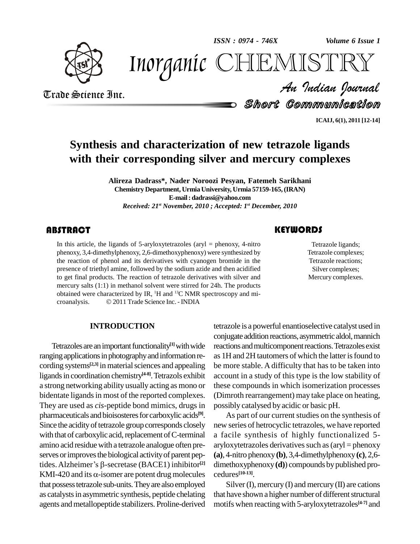*ISSN : 0974 - 746X*

*Volume 6 Issue 1*



*Volume 6 Issue 1*<br>ISTRY<br>Indian Iournal Inorganic CHEMISTRY

Trade Science Inc. Trade Science Inc. Short Communication

**ICAIJ, 6(1), 2011 [12-14]**

# **Synthesis and characterization of new tetrazole ligands with their corresponding silver and mercury complexes**

**Alireza Dadrass\*, Nader Noroozi Pesyan, Fatemeh Sarikhani Chemistry Department, Urmia University, Urmia 57159-165,(IRAN) E-mail: [dadrassi@yahoo.com](mailto:dadrassi@yahoo.co)** *Received: 21 st November, 2010 ; Accepted: 1 st December, 2010*

### **ABSTRACT**

In this article, the ligands<br>phenoxy, 3,4-dimethylphe<br>the reaction of phenol are In this article, the ligands of  $5$ -aryloxytetrazoles (aryl  $=$  phenoxy,  $4$ -nitro phenoxy, 3,4-dimethylphenoxy, 2,6-dimethoxyphenoxy) were synthesized by the reaction of phenol and its derivatives with cyanogen bromide in the presence of triethyl amine, followed by the sodium azide and then acidified to get final products. The reaction of tetrazole derivatives with silver and mercury salts (1:1) in methanol solvent were stirred for 24h. The products obtained were characterized by IR, <sup>1</sup>H and <sup>13</sup>C NMR spectroscopy and mi mercury salts (1:1) in methanol solvent were stirred for 24h. The obtained were characterized by IR, <sup>1</sup>H and <sup>13</sup>C NMR spectroscopy croanalysis.  $\circ$  2011 Trade Science Inc. - INDIA

### **INTRODUCTION**

Tetrazoles are an important functionality<sup>[1]</sup> with wide reaction ranging applications in photography and information recording systems<sup>[2,3]</sup> in material sciences and appealing be more ligands in coordination chemistry<sup>[4-8]</sup>. Tetrazols exhibit ac a strong networking ability usually acting as mono or bidentate ligands in most of the reported complexes. They are used as *cis-*peptide bond mimics, drugs in pharmaceuticals and bioisosteresfor carboxylic acids **[9]**. Since the acidity of tetrazole group corresponds closely with that of carboxylic acid, replacement of C-terminal amino acid residue with a tetrazole analogue often preserves or improves the biological activity of parent pepamino acid residue with a tetrazole analogue often pre-<br>serves or improves the biological activity of parent pep-<br>tides. Alzheimer's  $\beta$ -secretase (BACE1) inhibitor<sup>[2]</sup> di serves or improves the biological activity of parent pep-<br>tides. Alzheimer's  $\beta$ -secretase (BACE1) inhibitor<sup>[2]</sup> dime<br>KMI-420 and its  $\alpha$ -isomer are potent drug molecules cedu that possesstetrazole sub-units.Theyare also employed as catalysts in asymmetric synthesis, peptide chelating agents andmetallopeptide stabilizers. Proline-derived

tetrazole is a powerful enantioselective catalyst used in conjugate addition reactions, asymmetric aldol, mannich reactions and multicomponent reactions. Tetrazoles exist as 1H and 2H tautomers of which the latter is found to be more stable. A difficulty that has to be taken into account in a study of this type is the low stability of these compounds in which isomerization processes (Dimroth rearrangement) may take place on heating, possibly catalysed by acidic or basic pH.

As part of our current studies on the synthesis of new series of hetrocyclic tetrazoles, we have reported a facile synthesis of highly functionalized 5  $aryloxytetrazoles$  derivatives such as  $(\text{aryl} = \text{phenoxy})$ **(a)**, 4-nitro phenoxy**(b)**, 3,4-dimethylphenoxy**(c)**, 2,6 dimethoxyphenoxy (**d**)) compounds by published procedures **[10-13]**.

Silver  $(I)$ , mercury  $(I)$  and mercury  $(II)$  are cations that have shown a higher number of different structural motifs when reacting with 5-aryloxytetrazoles **[4-7]** and

### **KEYWORDS**

Tetrazole ligan<br>Tetrazole comple<br>Tetrazole reacti Tetrazole ligands; Tetrazole complexes; Tetrazole reactions; Silver complexes; Mercury complexes.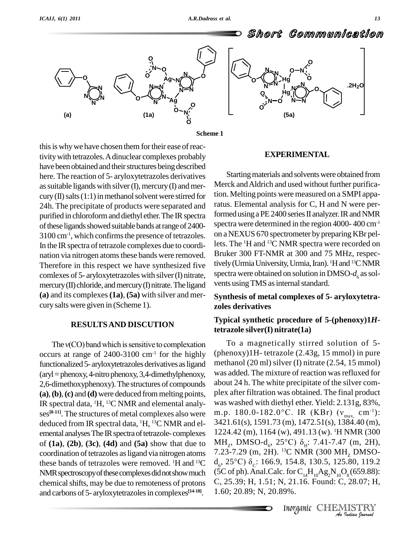## Short Communication





**Scheme 1**

this is why we have chosen them for their ease of reactivitywith tetrazoles.Adinuclear complexes probably have been obtained and their structures being described here. The reaction of 5- aryloxytetrazoles derivatives as suitable ligands with silver $(I)$ , mercury $(I)$  and mer- $\text{cury}$  (II) salts (1:1) in methanol solvent were stirred for 24h. The precipitate of products were separated and purified in chloroform and diethyl ether. The IR spectra of these ligands showed suitable bands at range of 2400- $3100 \text{ cm}^1$ , which confirms the presence of tetrazoles.  $\sigma$ r In the IR spectra of tetrazole complexes due to coordination via nitrogen atoms these bands were removed. Therefore in this respect we have synthesized five comlexes of 5- aryloxytetrazoles with silver (I) nitrate, spectra were obtained on solution in L<br>mercury (II) chloride, and mercury (I) nitrate. The ligand vents using TMS as internal standard. mercury (II) chloride, and mercury (I) nitrate. The ligand **(a)** and its complexes**(1a)**, **(5a)** with silver and mer cury salts were given in (Scheme 1).

### **RESULTSAND DISCUTION**

The  $v(CO)$  band which is sensitive to complexation occurs at range of  $2400-3100$  cm<sup>-1</sup> for the highly functionalized 5- aryloxytetrazoles derivatives as ligand  $\langle \text{aryl}=\text{phenoxy},4\text{-nitro phenoxy},3,4\text{-dinethylphenoxy},$ 2,6-dimethoxyphenoxy).The structures of compounds **(a)**,**(b)**,**(c)** and **(d)** were deduced frommelting points, IR spectral data, <sup>1</sup>H, <sup>13</sup>C NMR and elemental analyses<sup>[8-11]</sup>. The structures of metal complexes also were m.p. deduced from IR spectral data, <sup>1</sup>H, <sup>13</sup>C NMR and elemental analyses The IR spectra of tetrazole- complexes of **(1a)**, **(2b)**, **(3c)**, **(4d)** and **(5a)** show that due to coordination of tetrazoles as ligand via nitrogen atoms these bands of tetrazoles were removed.  $H$  and  ${}^{13}C$ NMR spectroscopy of these complexes did not show much chemical shifts, may be due to remoteness of protons and carbons of 5- aryloxytetrazoles in complexes<sup>[14-18]</sup>. <sup>1</sup>

### **EXPERIMENTAL**

Starting materials and solvents were obtained from Merck and Aldrich and used without further purification. Melting points were measured on a SMPI apparatus. Elemental analysis for  $C$ ,  $H$  and  $N$  were performed using a PE 2400 series II analyzer. IR and NMR spectra were determined in the region 4000- 400 cm-1 on a NEXUS 670 spectrometer by preparing KBr pellets. The <sup>1</sup>H and <sup>13</sup>C NMR spectra were recorded on Bruker 300 FT-NMR at 300 and 75 MHz, respectively (Urmia University, Urmia, Iran). <sup>1</sup>H and <sup>13</sup>C NMR spectra were obtained on solution in DMSO- $d_6$  as sol-

### **Synthesis of metal complexes of 5- aryloxytetra zoles derivatives**

### **Typical synthetic procedure of 5-(phenoxy)1***H***tetrazole silver(I) nitrate(1a)**

154.8, 130.5, 125.80, 119.2<br> *I* for C<sub>14</sub>H<sub>10</sub>Ag<sub>2</sub>N<sub>10</sub>O<sub>8</sub> (659.88):<br> *i*, 21.16. Found: C, 28.07; H,<br>
9%.<br> *Inorganic* CHEMISTRY *An*<sup>13</sup>C d<sub>6</sub>, 25<sup>o</sup>C)  $\delta_c$ : 166.9, 154.8, 130.5, 125.80, 119.2 To a magnetically stirred solution of 5- (phenoxy)1H- tetrazole (2.43g, 15 mmol) in pure methanol (20 ml) silver (I) nitrate (2.54, 15 mmol) was added. The mixture of reaction was refluxed for about 24 h. The white precipitate of the silver com plex after filtration was obtained. The final product<br>was washed with diethyl ether. Yield: 2.131g, 83%,<br>m.p. 180.0-182.0°C. IR (KBr) ( $v_{max}$  cm<sup>-1</sup>): was washed with diethyl ether. Yield: 2.131g, 83%, 3421.61(s), 1591.73 (m), 1472.51(s), 1384.40 (m),  $1224.42$  (m),  $1164$  (w),  $491.13$  (w). <sup>1</sup>H NMR (300) 3421.61(s), 1591.73 (m), 1472.51(s), 1384.40 (m),<br>1224.42 (m), 1164 (w), 491.13 (w). <sup>1</sup>H NMR (300<br>MH<sub>z</sub>, DMSO-d<sub>6</sub>, 25°C)  $\delta_{H}$ : 7.41-7.47 (m, 2H),<br>7.23-7.29 (m, 2H). <sup>13</sup>C NMR (300 MH<sub>z</sub> DMSO-d<sub>6</sub>, 25°C)  $\delta_{c}$ : 166.9 7.23-7.29 (m, 2H). <sup>13</sup><sup>C</sup> NMR (300 MH<sup>Z</sup> DMSO- <sup>d</sup><sup>6</sup> (5C of ph). Anal.Calc. for  $C_{14}H_{10}Ag_2N_{10}O_8 (659.88)$ : C, 25.39; H, 1.51; N, 21.16. Found: C, 28.07; H, 1.60; 20.89; N, 20.89%.